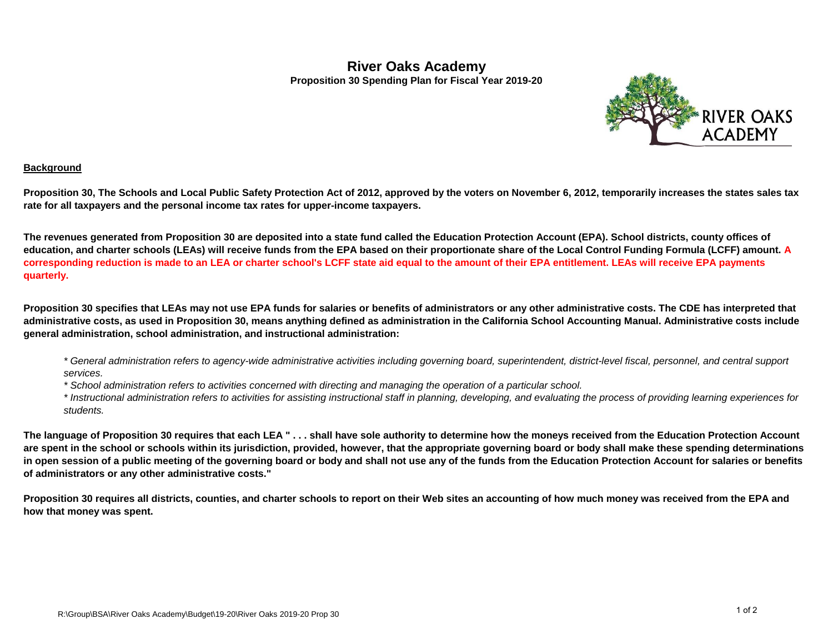## **River Oaks Academy Proposition 30 Spending Plan for Fiscal Year 2019-20**



## **Background**

**Proposition 30, The Schools and Local Public Safety Protection Act of 2012, approved by the voters on November 6, 2012, temporarily increases the states sales tax rate for all taxpayers and the personal income tax rates for upper-income taxpayers.**

**The revenues generated from Proposition 30 are deposited into a state fund called the Education Protection Account (EPA). School districts, county offices of education, and charter schools (LEAs) will receive funds from the EPA based on their proportionate share of the Local Control Funding Formula (LCFF) amount. A corresponding reduction is made to an LEA or charter school's LCFF state aid equal to the amount of their EPA entitlement. LEAs will receive EPA payments quarterly.**

**Proposition 30 specifies that LEAs may not use EPA funds for salaries or benefits of administrators or any other administrative costs. The CDE has interpreted that administrative costs, as used in Proposition 30, means anything defined as administration in the California School Accounting Manual. Administrative costs include general administration, school administration, and instructional administration:**

*\* General administration refers to agency-wide administrative activities including governing board, superintendent, district-level fiscal, personnel, and central support services.*

*\* School administration refers to activities concerned with directing and managing the operation of a particular school.*

*\* Instructional administration refers to activities for assisting instructional staff in planning, developing, and evaluating the process of providing learning experiences for students.*

**The language of Proposition 30 requires that each LEA " . . . shall have sole authority to determine how the moneys received from the Education Protection Account are spent in the school or schools within its jurisdiction, provided, however, that the appropriate governing board or body shall make these spending determinations in open session of a public meeting of the governing board or body and shall not use any of the funds from the Education Protection Account for salaries or benefits of administrators or any other administrative costs."**

**Proposition 30 requires all districts, counties, and charter schools to report on their Web sites an accounting of how much money was received from the EPA and how that money was spent.**